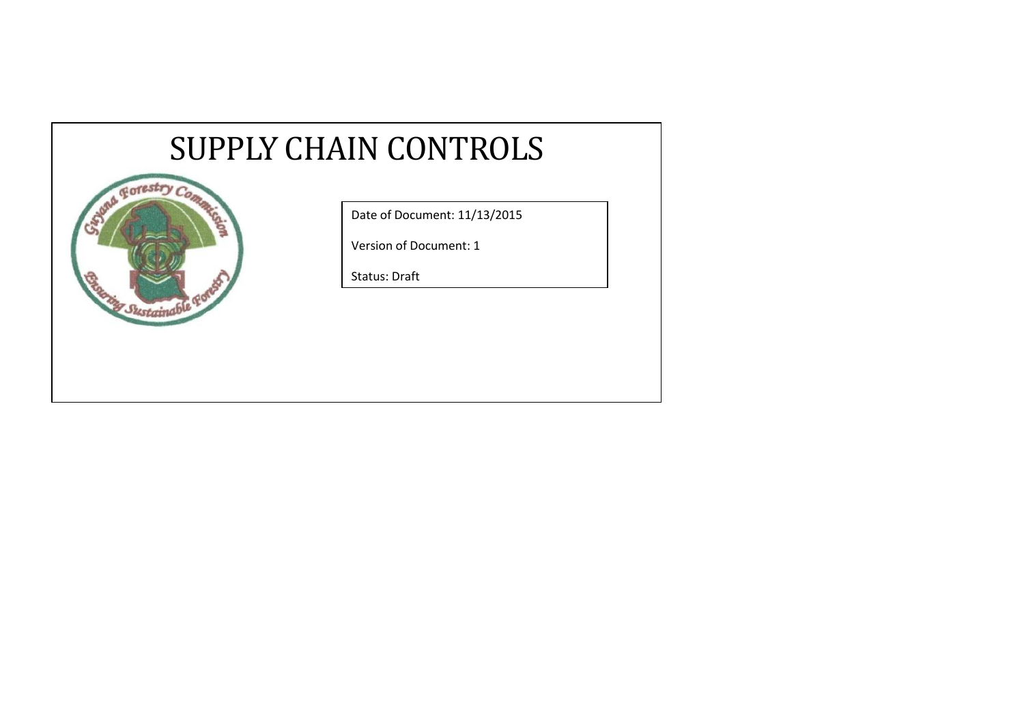## SUPPLY CHAIN CONTROLS



Date of Document: 11/13/2015

Version of Document: 1

Status: Draft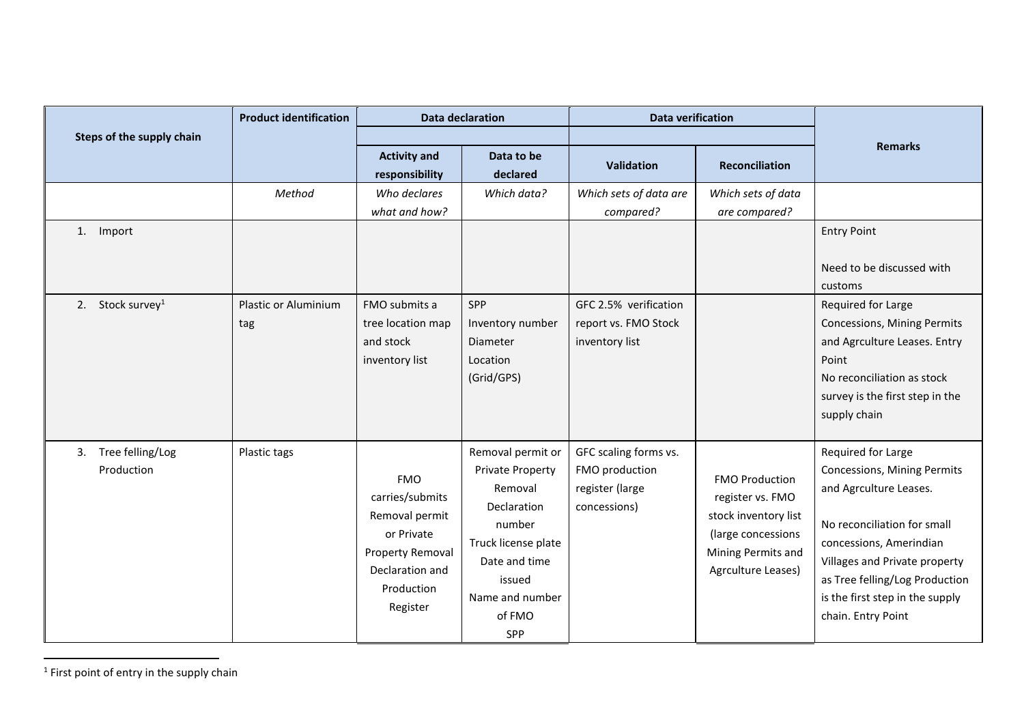|                                              | <b>Product identification</b>         | <b>Data declaration</b>                                                                                                        |                                                                                                                                                                        | <b>Data verification</b>                                                                               |                                                                                                                                     |                                                                                                                                                                                                                                                                   |
|----------------------------------------------|---------------------------------------|--------------------------------------------------------------------------------------------------------------------------------|------------------------------------------------------------------------------------------------------------------------------------------------------------------------|--------------------------------------------------------------------------------------------------------|-------------------------------------------------------------------------------------------------------------------------------------|-------------------------------------------------------------------------------------------------------------------------------------------------------------------------------------------------------------------------------------------------------------------|
| Steps of the supply chain                    |                                       | <b>Activity and</b><br>responsibility                                                                                          | Data to be<br>declared                                                                                                                                                 | <b>Validation</b>                                                                                      | <b>Reconciliation</b>                                                                                                               | <b>Remarks</b>                                                                                                                                                                                                                                                    |
| 1. Import<br>Stock survey <sup>1</sup><br>2. | Method<br>Plastic or Aluminium<br>tag | Who declares<br>what and how?<br>FMO submits a<br>tree location map<br>and stock<br>inventory list                             | Which data?<br>SPP<br>Inventory number<br>Diameter<br>Location<br>(Grid/GPS)                                                                                           | Which sets of data are<br>compared?<br>GFC 2.5% verification<br>report vs. FMO Stock<br>inventory list | Which sets of data<br>are compared?                                                                                                 | <b>Entry Point</b><br>Need to be discussed with<br>customs<br>Required for Large<br>Concessions, Mining Permits<br>and Agrculture Leases. Entry<br>Point<br>No reconciliation as stock<br>survey is the first step in the<br>supply chain                         |
| Tree felling/Log<br>3.<br>Production         | Plastic tags                          | <b>FMO</b><br>carries/submits<br>Removal permit<br>or Private<br>Property Removal<br>Declaration and<br>Production<br>Register | Removal permit or<br><b>Private Property</b><br>Removal<br>Declaration<br>number<br>Truck license plate<br>Date and time<br>issued<br>Name and number<br>of FMO<br>SPP | GFC scaling forms vs.<br>FMO production<br>register (large<br>concessions)                             | <b>FMO Production</b><br>register vs. FMO<br>stock inventory list<br>(large concessions<br>Mining Permits and<br>Agrculture Leases) | Required for Large<br>Concessions, Mining Permits<br>and Agrculture Leases.<br>No reconciliation for small<br>concessions, Amerindian<br>Villages and Private property<br>as Tree felling/Log Production<br>is the first step in the supply<br>chain. Entry Point |

 $<sup>1</sup>$  First point of entry in the supply chain</sup>

 $\overline{a}$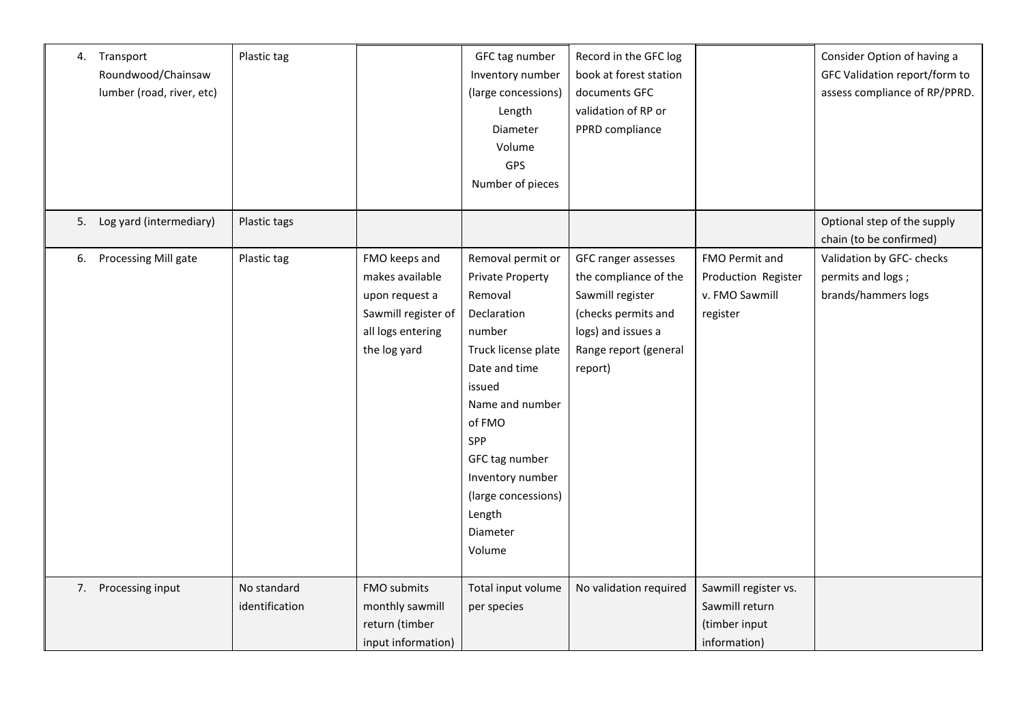|    | 4. Transport<br>Roundwood/Chainsaw<br>lumber (road, river, etc) | Plastic tag                   |                                                                                                                | GFC tag number<br>Inventory number<br>(large concessions)<br>Length<br>Diameter<br>Volume<br>GPS<br>Number of pieces                                                                                                                                         | Record in the GFC log<br>book at forest station<br>documents GFC<br>validation of RP or<br>PPRD compliance                                        |                                                                         | Consider Option of having a<br>GFC Validation report/form to<br>assess compliance of RP/PPRD. |
|----|-----------------------------------------------------------------|-------------------------------|----------------------------------------------------------------------------------------------------------------|--------------------------------------------------------------------------------------------------------------------------------------------------------------------------------------------------------------------------------------------------------------|---------------------------------------------------------------------------------------------------------------------------------------------------|-------------------------------------------------------------------------|-----------------------------------------------------------------------------------------------|
|    | 5. Log yard (intermediary)                                      | Plastic tags                  |                                                                                                                |                                                                                                                                                                                                                                                              |                                                                                                                                                   |                                                                         | Optional step of the supply<br>chain (to be confirmed)                                        |
| 6. | Processing Mill gate                                            | Plastic tag                   | FMO keeps and<br>makes available<br>upon request a<br>Sawmill register of<br>all logs entering<br>the log yard | Removal permit or<br>Private Property<br>Removal<br>Declaration<br>number<br>Truck license plate<br>Date and time<br>issued<br>Name and number<br>of FMO<br>SPP<br>GFC tag number<br>Inventory number<br>(large concessions)<br>Length<br>Diameter<br>Volume | GFC ranger assesses<br>the compliance of the<br>Sawmill register<br>(checks permits and<br>logs) and issues a<br>Range report (general<br>report) | FMO Permit and<br>Production Register<br>v. FMO Sawmill<br>register     | Validation by GFC- checks<br>permits and logs;<br>brands/hammers logs                         |
|    | 7. Processing input                                             | No standard<br>identification | FMO submits<br>monthly sawmill<br>return (timber<br>input information)                                         | Total input volume<br>per species                                                                                                                                                                                                                            | No validation required                                                                                                                            | Sawmill register vs.<br>Sawmill return<br>(timber input<br>information) |                                                                                               |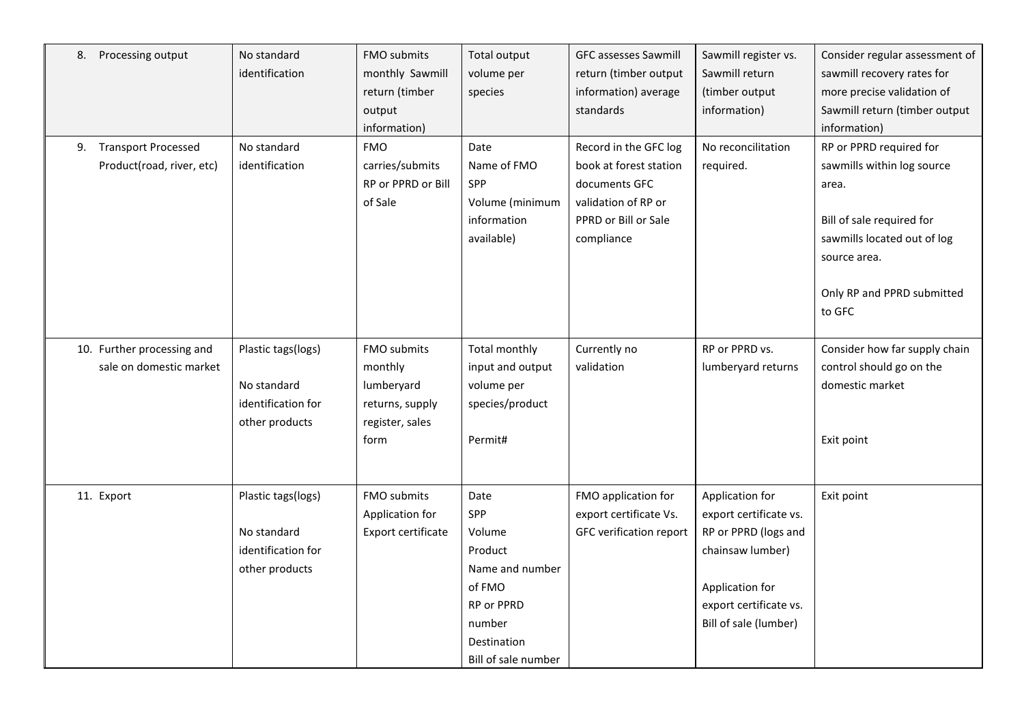| 8.<br>Processing output          | No standard        | FMO submits        | Total output        | <b>GFC assesses Sawmill</b> | Sawmill register vs.   | Consider regular assessment of |
|----------------------------------|--------------------|--------------------|---------------------|-----------------------------|------------------------|--------------------------------|
|                                  | identification     | monthly Sawmill    | volume per          | return (timber output       | Sawmill return         | sawmill recovery rates for     |
|                                  |                    | return (timber     | species             | information) average        | (timber output         | more precise validation of     |
|                                  |                    | output             |                     | standards                   | information)           | Sawmill return (timber output  |
|                                  |                    | information)       |                     |                             |                        | information)                   |
| <b>Transport Processed</b><br>9. | No standard        | <b>FMO</b>         | Date                | Record in the GFC log       | No reconcilitation     | RP or PPRD required for        |
| Product(road, river, etc)        | identification     | carries/submits    | Name of FMO         | book at forest station      | required.              | sawmills within log source     |
|                                  |                    | RP or PPRD or Bill | SPP                 | documents GFC               |                        | area.                          |
|                                  |                    | of Sale            | Volume (minimum     | validation of RP or         |                        |                                |
|                                  |                    |                    | information         | PPRD or Bill or Sale        |                        | Bill of sale required for      |
|                                  |                    |                    | available)          | compliance                  |                        | sawmills located out of log    |
|                                  |                    |                    |                     |                             |                        | source area.                   |
|                                  |                    |                    |                     |                             |                        |                                |
|                                  |                    |                    |                     |                             |                        | Only RP and PPRD submitted     |
|                                  |                    |                    |                     |                             |                        | to GFC                         |
|                                  |                    |                    |                     |                             |                        |                                |
| 10. Further processing and       | Plastic tags(logs) | FMO submits        | Total monthly       | Currently no                | RP or PPRD vs.         | Consider how far supply chain  |
| sale on domestic market          |                    | monthly            | input and output    | validation                  | lumberyard returns     | control should go on the       |
|                                  | No standard        | lumberyard         | volume per          |                             |                        | domestic market                |
|                                  | identification for | returns, supply    | species/product     |                             |                        |                                |
|                                  | other products     | register, sales    |                     |                             |                        |                                |
|                                  |                    | form               | Permit#             |                             |                        | Exit point                     |
|                                  |                    |                    |                     |                             |                        |                                |
|                                  |                    |                    |                     |                             |                        |                                |
| 11. Export                       | Plastic tags(logs) | FMO submits        | Date                | FMO application for         | Application for        | Exit point                     |
|                                  |                    | Application for    | SPP                 | export certificate Vs.      | export certificate vs. |                                |
|                                  | No standard        | Export certificate | Volume              | GFC verification report     | RP or PPRD (logs and   |                                |
|                                  | identification for |                    | Product             |                             | chainsaw lumber)       |                                |
|                                  | other products     |                    | Name and number     |                             |                        |                                |
|                                  |                    |                    | of FMO              |                             | Application for        |                                |
|                                  |                    |                    | RP or PPRD          |                             | export certificate vs. |                                |
|                                  |                    |                    | number              |                             | Bill of sale (lumber)  |                                |
|                                  |                    |                    | Destination         |                             |                        |                                |
|                                  |                    |                    | Bill of sale number |                             |                        |                                |